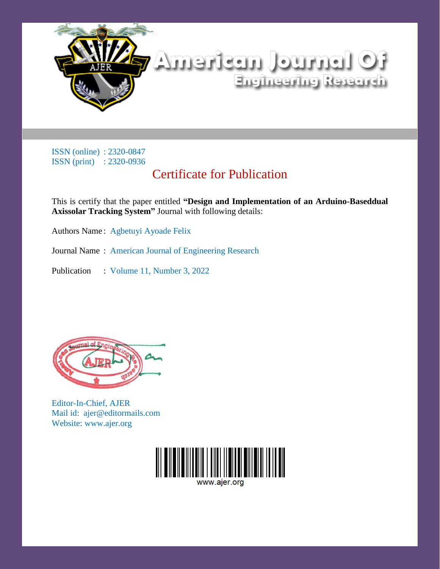

## Certificate for Publication

This is certify that the paper entitled **"Design and Implementation of an Arduino-Baseddual Axissolar Tracking System"** Journal with following details:

Authors Name : Agbetuyi Ayoade Felix

Journal Name : American Journal of Engineering Research

Publication : Volume 11, Number 3, 2022



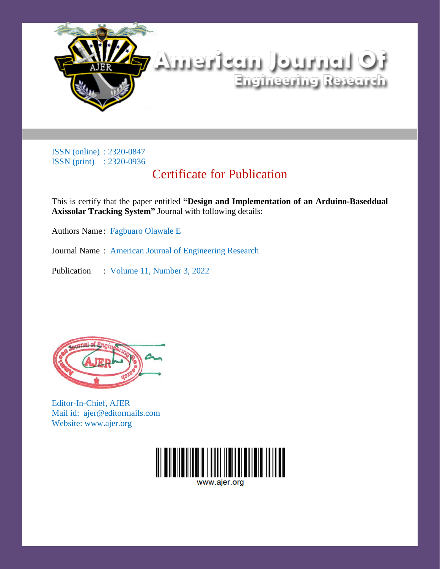

## Certificate for Publication

This is certify that the paper entitled **"Design and Implementation of an Arduino-Baseddual Axissolar Tracking System"** Journal with following details:

Authors Name : Fagbuaro Olawale E

Journal Name : American Journal of Engineering Research

Publication : Volume 11, Number 3, 2022



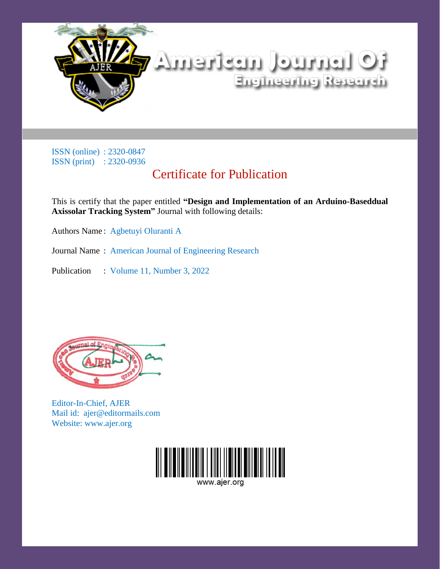

## Certificate for Publication

This is certify that the paper entitled **"Design and Implementation of an Arduino-Baseddual Axissolar Tracking System"** Journal with following details:

Authors Name : Agbetuyi Oluranti A

Journal Name : American Journal of Engineering Research

Publication : Volume 11, Number 3, 2022